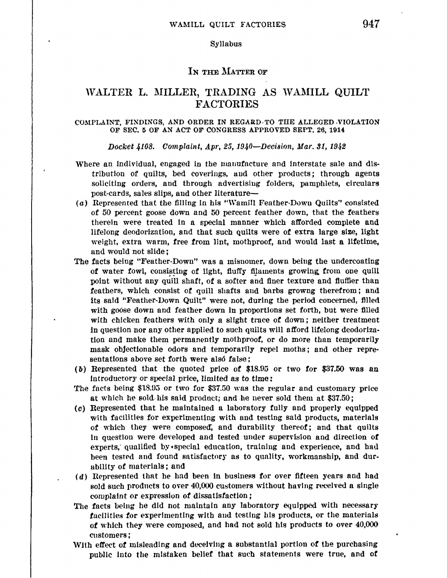### Syllabus

## IN THE MATTER OF

# WALTER L. MILLER, TRADING AS WAMILL QUILT FACTORIES

## COMPLAINT, FINDINGS, AND ORDER IN REGARD, TO THE ALLEGED ,VIOLATION OF SEC. 5 OF AN ACT OF CONGRESS APPROVED SEPT. 26, 1914

Docket 4108. Complaint, Apr. 25, 1940—Decision, Mar. 31, 1942

- Where an individual, engaged in the manufacture and interstate sale and distribution of quilts, bed coverings, and other products; tbrough agents soliciting orders, and through advertising folders, pamphlets, circulars post-cards, sales slips, and other literature-
- (a) Represented that the filling in his "Wamill Feather-Down Quilts" consisted of 50 percent goose down and 50 percent feather down, that the feathers therein were treated ln a special manner which afforded complete and lifelong deodorizntlon, and that such quilts were of extra large size, light weight, extra warm, free from lint, mothproof, and would last a lifetime, and would not slide;
- The facts being "Feather-Down" was a misnomer, down being the undercoating of water fowl, consisting of light, fluffy filaments growing from one quill point without any quill shaft, of a softer and finer texture and fluffier than feathers, which consist of quill shafts aud barbs growng therefrom; and its said "Feather-Down Quilt" were not, during the period concerned, filled with goose down and feather down in proportions set forth, but were filled with chicken feathers with only a slight trace of down; neither treatment in question nor any other applied to such quilts will afford lifelong deodorization nnd make them permanently mothproof, or do more than temporarily mask objectionable odors and temporarily repel moths; and other representations above set forth *were* also false:
- ( b) Represented tbat the quoted price of' \$18.95 or two for \$37.50 was an Introductory or special price, limited as to time:
- The facts being  $$18.95$  or two for  $$37.50$  was the regular and customary price at which he sold-his said product; and he never sold them at \$37.50;
- (c) Represented that he maintained a laboratory fully and properly equipped with facilities for experimenting with and testing said products, materials of which they were composed, and durability thereof; and that quilts In question were developed and tested under supervision and direction of experts, qualified by • special education, training and experience, and had been tested and found satisfactory as to quality, workmanship, and durabillty of materials; and
- $(d)$  Represented that he had been in business for over fifteen years and had sold such products to over 40,000 customers without having received a single complaint or expression of dissatisfaction:
- The facts being he did not maintain any laboratory equipped with necessary facilities for experimenting with and testing his products, or the materials of which they were composed, and had not sold his products to over 40,000 customers;
- With effect of misleading and deceiving a substantial portion of the purchasing publlc Into the mistaken belief that such statements were true, and of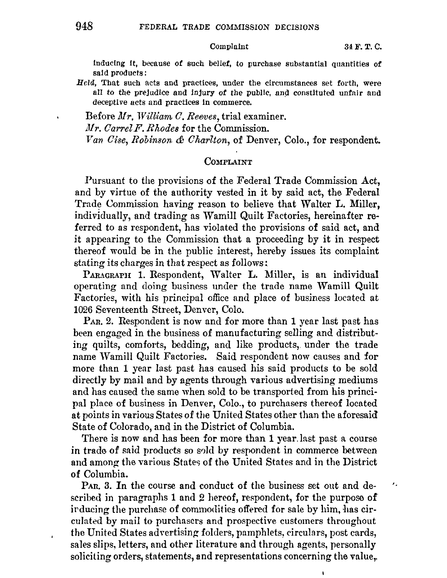## Complaint 34 **F. T.** C.

inducing it, because **ot** such belief, to purchase substantial quantities **of**  said products:

*Held,* That such acts and practices, under the circumstances set forth, were all to the prejudice and injury of the public, and constituted unfair and deceptive acts and practices In commerce,

Before *Mr, William C. Reeves*, trial examiner. *Mr. Carrel F. Rhodes* for the Commission. *Yan Oise, Robinson & Charlton,* of Denver, Colo., for respondent.

## Complaint

Pursuant to the provisions of the Federal Trade Commission Act, and by virtue of the authority vested in it by said act, the Federal Trade Commission having reason to believe that Walter L. Miller, individually, and trading as \Vamill Quilt Factories, hereinafter referred to as respondent, has violated the provisions of said act, and jt appearing to the Commission that a proceeding by it in respect thereof would be in the public interest, hereby issues its complaint stating its charges in that respect as follows:

PARAGRAPH 1. Respondent, Walter L. Miller, is an individual operating and doing business under the trade name Wamill Quilt Factories, with his principal office and place of business located at 1026 Seventeenth Street, Denver, Colo.

PAR. 2. Respondent is now and for more than 1 year last past has been engaged in the business of manufacturing selling and distributing quilts, comforts, bedding, and like products, under the trade name Wamill Quilt Factories. Said respondent now causes and formore than 1 year last past has caused his said products to be sold directly by mail and by agents through various advertising mediums and has caused the same when sold to be transported from his principal place 0£ business in Denver, Colo., to purchasers thereof located at points in various States of the United States other than the aforesaid State of Colorado, and in the District of Columbia.

There is now and has been for more than 1 year. last past a course in trade of said products so sold by respondent in commerce between and among the various States of the United States and in the District of Columbia.

PAn. 3. In the course and conduct of the business set out and de- $\epsilon_{\rm a}$ scribed in paragraphs 1 and 2 hereof, respondent, for the purpose of irducing the purchase of commodities offered for sale by him, has circulated by mail to purchasers and prospective customers throughout the United States advertising folders, pamphlets, circulars, post cards, sales slips, letters, and other literature and through agents, personally soliciting orders, statements, and representations concerning the value,.

 $\blacksquare$ 

 $\bullet$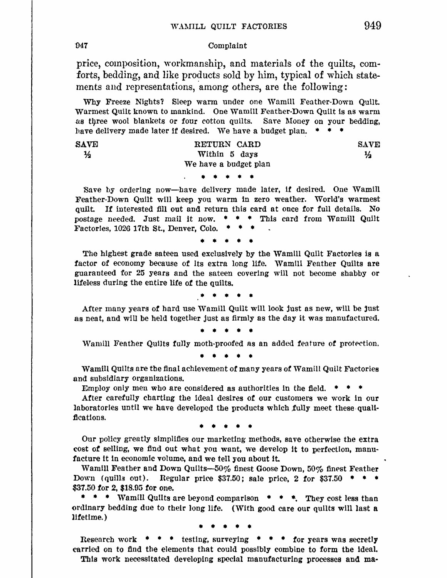**'047** Complaint

price, composition, workmanship, and materials of the quilts, com• forts, bedding, and like products sold by him, typical of which statements and representations, among others, are the following:

Why Freeze Nights? Sleep warm under one Wamill Feather-Down Quilt. Warmest Quilt known to mankind. One Wamill Feather-Down Quilt ls as warm as three wool blankets or four cotton quilts. Save Money on your bedding, have delivery made later if desired. We have a budget plan.  $* * * *$ 

| <b>SAVE</b>   | RETURN CARD           | <b>SAVE</b> |
|---------------|-----------------------|-------------|
| $\frac{1}{2}$ | Within 5 days         | ⅓           |
|               | We have a budget plan |             |
|               |                       |             |

Save by ordering now—have delivery made later, if desired. One Wamill Feather-Down Quilt wlll keep you warm in zero weather. World's warmest quilt. If interested fill out and return this card at once for full details. No postage needed. Just mail it now.  $\bullet \bullet \bullet$  This card from Wamill Quilt Factories, 1026 17th St., Denver, Colo.

• • • • •

The highest grade sateen used exclusively by the Wamill Quilt Factories is a factor of economy because of its extra long life. Wamill Feather Quilts are guaranteed for 25 years and the sateen covering will not become shabby or lifeless during the entire life of the quilts.

• • • • •

After many years of hard use Wamill Quilt will look just as new, will be just as neat, and wlll be held together just as firmly as the day it was manufactured.

• • • • •

Wamill Feather Quilts fully moth-proofed as an added feature of protection.

• • • • •

Wamill Quilts are the final achievement of many years of Wamill Quilt Factories and subsidiary organizations.

Employ only men who are considered as authorities in the field.  $*$ 

After carefully charting the ideal desires of our customers we work in our laboratories until we have developed the products which fully meet these qualifications.

• • • • •

Our policy greatly simplifies our marketing methods, save otherwise the extra cost *ot* selling, we find out what you want, we develop it to perfection, manufacture it In economic volume, and we tell you about it.

Wamill Feather and Down Quilts-50% finest Goose Down, 50% finest Feather Down (quills out). Regular price  $$37.50$ ; sale price, 2 for  $$37.50$  \* \* \* \$37.50 for 2, \$18.95 for one.

 $\bullet \bullet \bullet$  Wamill Quilts are beyond comparison  $\bullet \bullet \bullet$ . They cost less than ordinary bedding due to their long life. (With good care our quilts will last a lifetime.)

• • • • •

Research work <sup>\*</sup> \* \* testing, surveying \* \* \* for years was secretly carried on to flnd the elements that could possibly combine to form the ideal. This work necessitated developing special manufacturing processes and ma-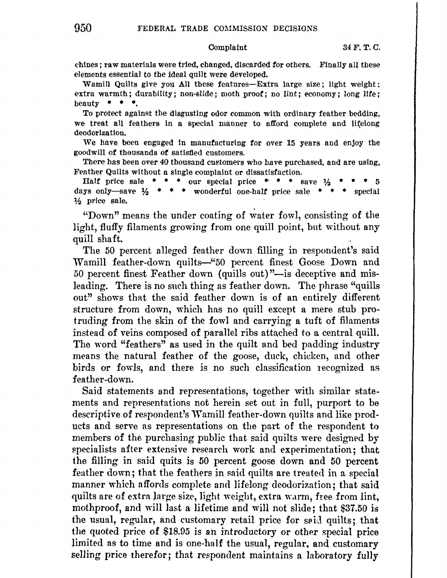chines; raw materials were tried, changed. discarded for others. Finally all these elements essential to the ideal quilt were developed.

Wamill Quilts give you All these features--Extra large size; light weight; extra warmth; durability; non-slide; moth proof; no lint; economy; long life; beauty  $\bullet \bullet \bullet$ .

To protect against the disgusting odor common with ordinary feather bedding, we treat all feathers in a special manner to afford complete and lifelong deodorization.

We have been engaged in manufacturlng for over 15 years and enjoy the goodwill of thausands of satisfied customers.

There has been over 40 thousand customers who have purchased, and are using, Feather Quilts without a single complaint or dissatisfaction.

Half price sale  $\ast \ast \ast$  our special price  $\ast \ast \ast$  save  $\frac{1}{2}$   $\ast$ days only—save  $\frac{1}{2}$  \* \* \* wonderful one-half price sale \* \* \* special ½ price sale.

"Down" means the under coating of water fowl, consisting of the light, fluffy filaments growing from one quill *point,* but without any quill shaft.

The 50 percent alleged feather down filling in respondent's said Wamill feather-down quilts-"50 percent finest Goose Down and 50 percent finest Feather down (quills out)"-is deceptive and misleading. There is no such thing as feather down. The phrase "quills out" shows that the said feather down is of an entirely different structure from down, which has no quill except a mere stub protruding from the skin of the fowl and carrying a tuft of filnments instead of veins composed of parallel ribs attached to a central quill. The word "feathers" as used in the quilt and bed padding industry means the natural feather of the goose, duck, chicken, and other birds or fowls, and there is no such classification recognized as feather-down.

Said statements and representations, together with similar statements and representations not herein set out in full, purport to be descriptive of respondent's Wamill feather-down quilts and like products and serve as representations on the part of the respondent to members of the purchasing public that said quilts were designed by specialists after extensive research work and experimentation; that the filling in said quits is 50 percent goose down and 50 percent feather down; that the feathers in said quilts are treated in a special manner which affords complete and lifelong deodorization; that said quilts are of extra large size, light weight, extra warm, free from lint, moth proof, and will last a lifetime and will not slide; that \$37.50 is the usual, regular, and customary retail price for said quilts; that the quoted price of \$18.05 is an introductory or other special price limited as to time and is one-half the usual, regular, and customary selling price therefor; that respondent maintains a laboratory fully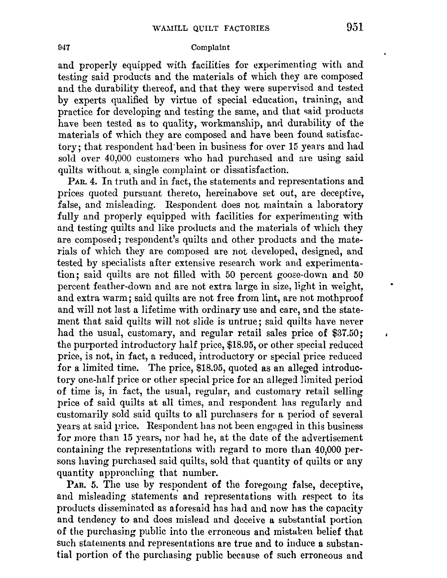## 047 Complaint

and properly equipped with facilities for experimenting with and testing said products and the materials of which they are composed and the durability thereof, and that they were supervised and tested by experts qualified by virtue of special education, training, and practice for developing and testing the same, and that said products have been tested as to quality, workmanship, and durability of the materials of which they are composed and have been found satisfactory; that respondent had·been in business for over 15 years and had sold over 40,000 customers who had purchased and are using said quilts without a, single complaint or dissatisfaction.

PAR. 4. In truth and in fact, the statements and representations and prices quoted pursuant thereto, hereinabove set out, are deceptive, false, and misleading. Respondent does not maintain a laboratory fully and properly equipped with facilities for experimenting with and testing quilts and like products and the materials of which they are composed; respondent's quilts and other products and the materials of which they are composed are not developed, designed, and tested by specialists after extensive research work and experimentation; said quilts are not filled with 50 percent goose-down and 50 percent feather-down and are not extra large in size, light in weight, and extra warm; said quilts are not free from lint, are not mothproof and will not last a lifetime with ordinary use and care, and the statement that said quilts will not slide is untrue; said quilts have never had the usual, customary, and regular retail sales price of \$37.50; the purported introductory half price, \$18.95, or other special reduced price, is not, in fact, a reduced, introductory or special price reduced for a limited time. The price, \$18.95, quoted as an alleged introduc• tory one-half price or other special price for an alleged limited period of time is, in fact, the usual, regular, and customary retail selling price 0£ said quilts at all times, and respondent has regularly and customarily sold said quilts to all purchasers for a period of several years at said price. Respondent has not been engaged in this business for more than 15 years, nor had he, at the date of the advertisement containing the representations with regard to more than 40,000 persons having purchased said quilts, sold that quantity of quilts or any quantity approaching that number.

PAR. 5. The use by respondent of the foregomg false, deceptive, and misleading statements and representations with respect to its products disseminated as aforesaid has had and now has the capacity and tendency to and does mislead and deceive a substantial portion of the purchasing public into the erroneous and mistaken belief that such statements and representations are true and to induce a substantial portion of the purchasing public because of such erroneous and  $\mathbf{I}$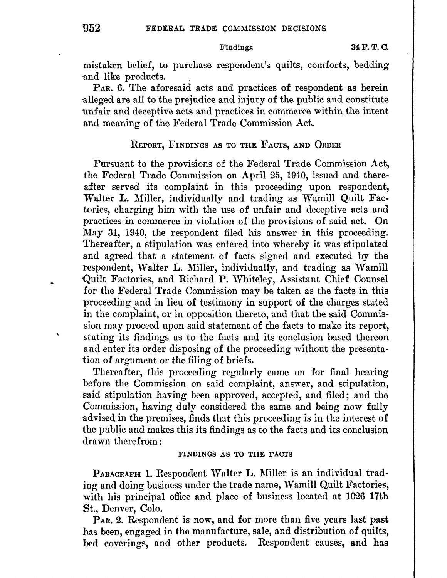mistaken belief, to purchase respondent's quilts, comforts, bedding ·and like products.

PAR. 6. The aforesaid acts and practices of respondent as herein ·alleged are all to the prejudice and injury of the public and constitute unfair and deceptive acts and practices in commeree within the intent and meaning of the Federal Trade Commission Act.

## REPORT, FINDINGS AS TO THE FACTS, AND ORDER

Pursuant to the provisions of the Federal Trade Commission Act, the Federal Trade Commission on April 25, 1940, issued and thereafter served its complaint in this proceeding upon respondent, Walter L. Miller, individually and trading as Wamill Quilt Factories, charging him with the use of unfair and deceptive acts and practices in commerce in violation of the provisions of said act. On May 31, 1940, the respondent filed his answer in this proceeding. Thereafter, a stipulation was entered into whereby it was stipulated and agreed that a statement of facts signed and executed by the respondent, Walter L. Miller, individually, and trading as Wamill Quilt Factories, and Richard P. Whiteley, Assistant Chief Counsel for the Federal Trade Commission may be taken as the facts in this proceeding and in lieu of testimony in support of the charges stated in the comp)aint, or in opposition thereto, and that the said Commission may proceed upon said statement of the facts to make its report, stating its findings as to the £acts and its conclusion based thereon and enter its order disposing of the proceeding without the presentation of argument or the filing of briefs.

Thereafter, this proceeding regularly came on for final hearing before the Commission on said complaint, answer, and stipulation, said stipulation having been approved, accepted, and filed; and the Commission, having duly considered the same and being now fully advised in the premises, finds that this proceeding is in the interest of the public and makes this its findings as to the facts and its conclusion drawn therefrom:

## FINDINGS AS TO THE FACTS

PARAGRAPH 1. Respondent Walter L. Miller is an individual trading and doing business under the trade name, Wamill Quilt Factories, with his principal office and place of business located at 1026 17th St., Denver, Colo.

PAR. 2. Respondent is now, and for more than five years last past has been, engaged in the manufacture, sale, and distribution of quilts, bed coverings, and other products. Respondent causes, and has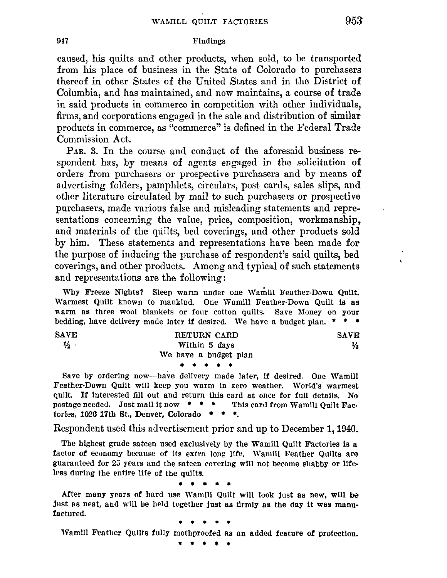## **017** Findings

caused, his quilts and other products, when sold, to be transported from his place of business in the State of Colorado to purchasers thereof in other States of the United States and in the District of Columbia, and has maintained, and now maintains, a course of trade in said products in commerce in competition with other individuals, firms, and corporations engaged in the sale and distribution of similar products in commerce, as "commerce" is defined in the Federal Trade Commission Act.

PAR. 3. In the course and conduct of the aforesaid business respondent has, by means of agents engaged in the solicitation of orders from purchasers or prospective purchasers and by means **of**  advertising folders, pamphlets, circulars, post cards, sales slips, and other literature circulated by mail to such purchasers or prospective purchasers, made various false and misleading statements and representations concerning the value, price, composition, workmanship, and materials of the quilts, bed coverings, and other products sold by him. These statements and representations have been made for the purpose of inducing the purchase of respondent's said quilts, bed coverings, and other products. Among and typical of such statements and representations are the following:

Why Freeze Nights? Sleep warm under one Wamill Feather-Down Quilt. Warmest Quilt known to mankind. One Wamill Feather-Down Quilt is as warm as three wool blankets or four cotton quilts. Save Money on your bedding, have delivery made later **if** desired. We have a budget plan. • • •

| <b>SAVE</b>   | RETURN CARD           | <b>SAVE</b>   |
|---------------|-----------------------|---------------|
| $\frac{1}{2}$ | Within 5 days         | $\frac{1}{2}$ |
|               | We have a budget plan |               |
|               | * * * * *             |               |
|               |                       |               |

Save by ordering now-have delivery made later, If desired. One Wamill Feather-Down Quilt will keep you warm in zero weather. World's warmest quilt. If interested fill out and return this card at once for full details. No postage needed. Just mail it now  $* * *$  This card from Warnill Quilt Factories, 1026 17th St., Denver, Colorado  $\bullet \bullet \bullet$ .

Respondent used this advertisement prior and up to December 1, 1940.

The highest grade sateen used exclusively by the Wamill Quilt Factories is a factor of economy because of its extra long life. Wamill Feather Quilts are guaranteed for 23 years and the sateen covering w111 not become shabby or lifeless during the entire life of the quilts.

• • • • •

After many years of hard use Wamill Quilt will look just as new, will be just as neat, and will be held together just as firmly as the day it was manufactured.

• • • • •

Wam1II Feather Quilts fully mothproofed as an added feature **or** protection.

• • • • •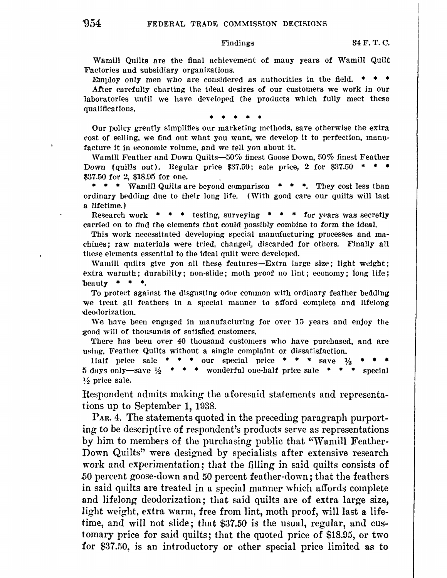Wamill Quilts are the final achievement of many years of Wamill Quilt Factories and subsidiary organizations.

Employ only men who are considered as authorities in the field.  $*$ After carefully charting the idenl desires of our customers we work in our laboratories until we have developed the products which fully meet these qualifications.

Our policy greatly simplifies our marketing methods, save otherwise the extra ~ost of selJing, we find out what you want, we develop it to perfection, manufacture it in economic volume, and we tell you about it.

Wamill Feather and Down Quilts--50% finest Goose Down, 50% finest Feather Down (quills out). Regular price  $$37.50$ ; sale price, 2 for  $$37.50$  \* \$37.50 for 2, \$18.95 for one.

\* \* \* Wamill Quilts are beyond comparison \* \* \*. They cost less than ordinary bedding due to their long life. (With good care our quilts will last a lifetime.)

Research work  $\bullet \bullet \bullet \bullet$  testing, surveying  $\bullet \bullet \bullet \bullet$  for years was secretly carried on to find the elements that could possibly combine to form the ideal.

This work necessitated developing special manufacturing processes and machines; raw materials were tried, changed, discarded for others. Finally all these elements essential to the ideal quilt were developed.

Wamill quilts give you all these features- $-$ Extra large size; light weight; extra warmth; durability; non-slide; moth proof no lint; economy; long life; beauty  $* * *$ .

To protect against the disgusting odor common with ordinary feather bedding we treat all feathers in a special manner to afford complete and lifelong '<leollorization.

We have been engaged in manufacturing for over 15 years and enjoy the ,good will of thousands of satisfied customers.

There has been over 40 thousand customers who have purchased, and are using, Feather Quilts without a single complaint or dissatisfaction.

Half price sale  $* * *$  our special price  $* * *$  save  $\frac{1}{2}$ 5 days only—save  $\frac{1}{2}$  \* \* \* wonderful one-half price sale \* \* \* special % prlce sale.

Respondent admits making the aforesaid statements and representations up to September **1,** 1938.

**PAR.** 4. The statements quoted in the preceding paragraph purporting to be descriptive of respondent's products serve as representations by him to members of the purchasing public that "Wamill Feather-Down Quilts'' were designed by specialists after extensive research work and experimentation; that the filling in said quilts consists of .50 percent goose-down and 50 percent feather-down; that the feathers in said quilts are treated in a special manner which affords complete and lifelong deodorization; that said quilts are of extra large size, light weight, extra warm, free from lint, moth proof, will last a lifetime, and will not slide; that \$37.50 is the usual, regular, and customary price for said quilts; that the quoted price of \$18.95, or two for \$37.50, is an introductory or other special price limited as to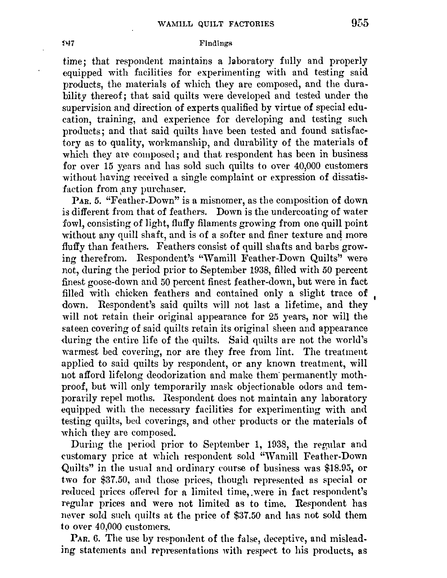### Findings

time; that respondent maintains a laboratory fully and properly equipped with facilities for experimenting with and testing said products, the materials of which they are composed, and the durability thereof; that said quilts were developed and tested under the supervision and direction of experts qualified by virtue of special education, training, and experience for developing and testing such products; and that said quilts have been tested and found satisfactory as to quality, workmanship, and durability of the materials **of**  which they are composed; and that respondent has been in business for over 15 years and has sold such quilts to over 40,000 customers without having received a single complaint or expression of dissatisfaction from any purchaser.

PAR. 5. "Feather-Down" is a misnomer, as the composition of down is different from that of feathers. Down is the undercoating of water fowl, consisting of light, fluffy filaments growing from one quill point without any quill shaft, and is of a softer and finer texture and more fluffy than feathers. Feathers consist of quill shafts and barbs growing therefrom. Respondent's "Wamill Feather-Down Quilts" were not, during the period prior to September 1938, filled with 50 percent finest goose-down and 50 percent finest feather-down, but were in fact filled with chicken feathers and contained only a slight trace of down. Respondent's said quilts will not last a lifetime, and they will not retain their original appearance for 25 years, nor will the sateen covering of said quilts retain its original sheen and appearance during the entire life of the quilts. Said quilts are not the world's warmest bed covering, nor are they free from lint. The treatment applied to said quilts by respondent, or any known treatment, will uot afford lifelong deodorization and make them· permanently mothproof, but will only temporarily mask objectionable odors and temporarily repel moths. Respondent does not maintain any laboratory equipped with the necessary facilities for experimenting with and testing quilts, bed coverings, and other products or the materials of which they are composed.

During the period prior to September 1, 1938, the regular and customary price at which respondent sold "'Vamill Feather-Down Quilts" in the usual and ordinary eourse of business was \$18.95, or two for \$37.50, and those prices, though represented as special or reduced prices offered for a limited time, were in fact respondent's regular prices and were not limited as to time. Respondent has never sold such quilts at the price of \$37.50 and has not sold them to over 40,000 customers.

PAR. 6. The use by respondent of the false, deceptive, and misleading statements and representations with respect to his products, as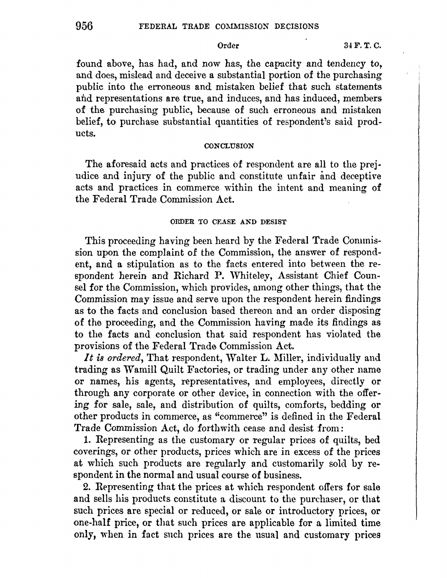found above, has had, and now has, the capacity and tendency to, and does, mislead and deceive a substantial portion of the purchasing public into the erroneous and mistaken belie£ that such statements and representations are true, and induces, and has induced, members of the purchasing public, because of such erroneous and mistaken belief, to purchase substantial quantities of respondent's said products.

## **CONCLUSION**

The aforesaid acts and practices of respondent are all to the prejudice and injury of the public and constitute unfair and deceptive acts and practices in commerce within the intent and meaning of the Federal Trade Commission Act.

## ORDER *TO* CEASE AND DESIST

This proceeding having been heard by the Federal Trade Commission upon the complaint of the Commission, the answer of respondent, and a stipulation as to the facts entered into between the respondent herein and Richard P. Whiteley, Assistant Chief Counsel for the Commission, which provides, among other things, that the Commission may issue and serve upon the respondent herein findings as to the facts and conclusion based thereon and an order disposing of the proceeding, and the Commission having made its findings as to the facts and conclusion that said respondent has violated the provisions of the Federal Trade Commission Act.

It is ordered, That respondent, Walter L. Miller, individually and trading as Wamill Quilt Factories, or trading under any other name or names, his agents, representatives, and employees, directly or through any corporate or other device, in connection with the offering for sale, sale, and distribution of quilts, comforts, bedding or other products in commerce, as "commerce" is defined in the Federal Trade Commission Act, do forthwith cease and desist from:

1. Representing as the customary or regular prices of quilts, bed coverings, or other products, prices which are in excess of the prices at which such products are regularly and customarily sold by respondent in the normal and usual course of business.

2. Representing that the prices at which respondent offers for sale and sells his products constitute a discount to the purchaser, or that such prices are special or reduced, or sale or introductory prices, or one-half price, or that such prices are applicable for a limited time only, when in fact such prices are the usual and customary prices